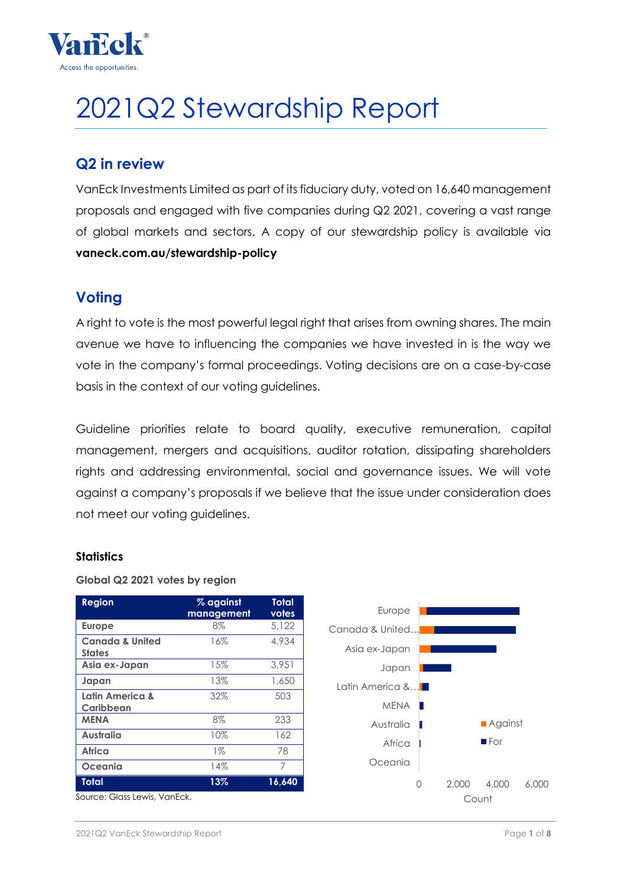

# 2021Q2 Stewardship Report

# **Q2 in review**

VanEck Investments Limited as part of its fiduciary duty, voted on 16,640 management proposals and engaged with five companies during Q2 2021, covering a vast range of global markets and sectors. A copy of our stewardship policy is available via **vaneck.com.au/stewardship-policy**

# **Voting**

A right to vote is the most powerful legal right that arises from owning shares. The main avenue we have to influencing the companies we have invested in is the way we vote in the company's formal proceedings. Voting decisions are on a case-by-case basis in the context of our voting guidelines.

Guideline priorities relate to board quality, executive remuneration, capital management, mergers and acquisitions, auditor rotation, dissipating shareholders rights and addressing environmental, social and governance issues. We will vote against a company's proposals if we believe that the issue under consideration does not meet our voting guidelines.

## **Statistics**

#### **Global Q2 2021 votes by region**

| <b>Region</b>                               | % against<br>management | Total<br>votes |
|---------------------------------------------|-------------------------|----------------|
| <b>Europe</b>                               | 8%                      | 5.122          |
| <b>Canada &amp; United</b><br><b>States</b> | 16%                     | 4,934          |
| Asia ex-Japan                               | 15%                     | 3.951          |
| Japan                                       | 13%                     | 1,650          |
| Latin America &<br>Caribbean                | 32%                     | 503            |
| <b>MENA</b>                                 | $8\%$                   | 233            |
| Australia                                   | 10%                     | 162            |
| Africa                                      | $1\%$                   | 78             |
| <b>Oceania</b>                              | 14%                     | 7              |
| <b>Total</b>                                | 13%                     | 16,640         |
| Source: Glass Lewis, VanEck.                |                         |                |

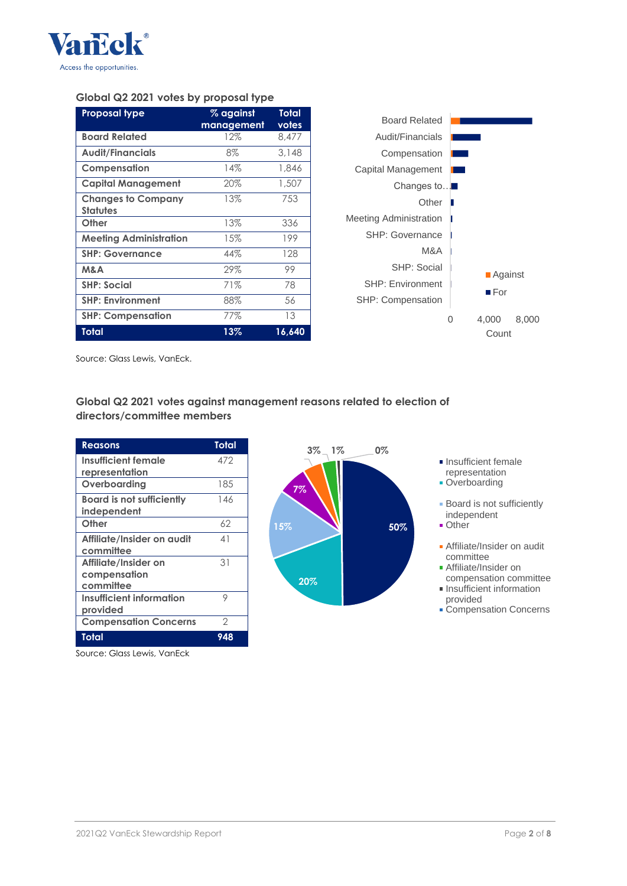

#### **Global Q2 2021 votes by proposal type**

| <b>Proposal type</b>                         | % against  | Total  |
|----------------------------------------------|------------|--------|
|                                              | management | votes  |
| <b>Board Related</b>                         | 12%        | 8.477  |
| <b>Audit/Financials</b>                      | 8%         | 3.148  |
| Compensation                                 | 14%        | 1,846  |
| <b>Capital Management</b>                    | 20%        | 1,507  |
| <b>Changes to Company</b><br><b>Statutes</b> | 13%        | 753    |
| Other                                        | 13%        | 336    |
| <b>Meeting Administration</b>                | 15%        | 199    |
| <b>SHP: Governance</b>                       | 44%        | 128    |
| M&A                                          | 29%        | 99     |
| <b>SHP: Social</b>                           | 71%        | 78     |
| <b>SHP: Environment</b>                      | 88%        | 56     |
| <b>SHP: Compensation</b>                     | 77%        | 13     |
| Total                                        | 13%        | 16,640 |



Source: Glass Lewis, VanEck.

**Global Q2 2021 votes against management reasons related to election of directors/committee members**

| <b>Reasons</b>                   | Total         |
|----------------------------------|---------------|
| Insufficient female              | 472           |
| representation                   |               |
| Overboarding                     | 185           |
| <b>Board is not sufficiently</b> | 146           |
| independent                      |               |
| Other                            | 62            |
| Affiliate/Insider on audit       | 41            |
| committee                        |               |
| Affiliate/Insider on             | 31            |
| compensation                     |               |
| committee                        |               |
| Insufficient information         | 9             |
| provided                         |               |
| <b>Compensation Concerns</b>     | $\mathcal{P}$ |
| Total                            | 948           |

Source: Glass Lewis, VanEck



representation **Overboarding** 

**Insufficient female** 

**Board is not sufficiently** independent

- Other
- Affiliate/Insider on audit committee
- **Affiliate/Insider on**
- compensation committee **Insufficient information**
- provided Compensation Concerns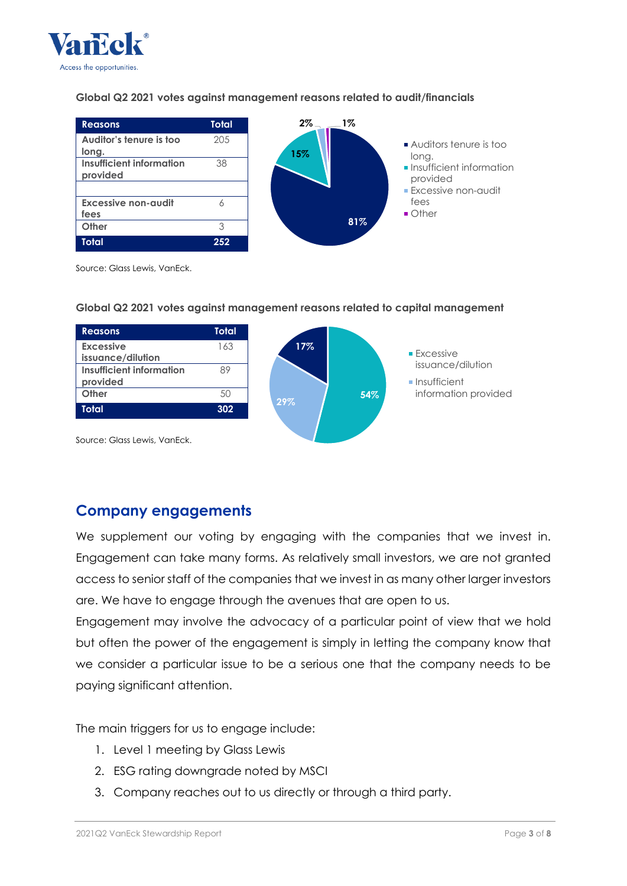

#### **Global Q2 2021 votes against management reasons related to audit/financials**



Source: Glass Lewis, VanEck.



#### **Global Q2 2021 votes against management reasons related to capital management**

Source: Glass Lewis, VanEck.

## **Company engagements**

We supplement our voting by engaging with the companies that we invest in. Engagement can take many forms. As relatively small investors, we are not granted access to senior staff of the companies that we invest in as many other larger investors are. We have to engage through the avenues that are open to us.

Engagement may involve the advocacy of a particular point of view that we hold but often the power of the engagement is simply in letting the company know that we consider a particular issue to be a serious one that the company needs to be paying significant attention.

The main triggers for us to engage include:

- 1. Level 1 meeting by Glass Lewis
- 2. ESG rating downgrade noted by MSCI
- 3. Company reaches out to us directly or through a third party.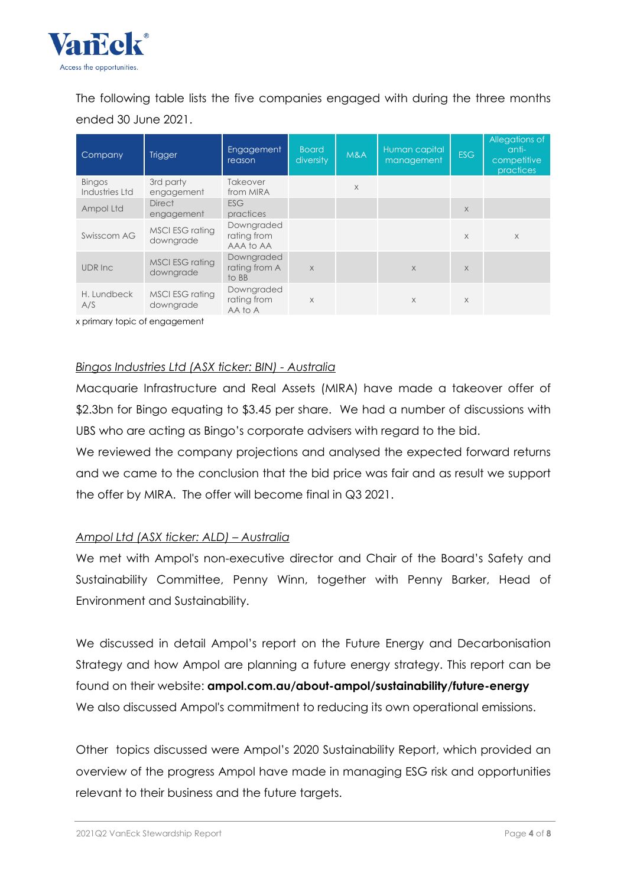

The following table lists the five companies engaged with during the three months ended 30 June 2021.

| Company                         | <b>Trigger</b>                      | Engagement<br>reason                   | <b>Board</b><br>diversity | M&A      | Human capital<br>management | <b>ESG</b> | Allegations of<br>anti-<br>competitive<br>practices |
|---------------------------------|-------------------------------------|----------------------------------------|---------------------------|----------|-----------------------------|------------|-----------------------------------------------------|
| <b>Bingos</b><br>Industries Ltd | 3rd party<br>engagement             | Takeover<br>from MIRA                  |                           | $\times$ |                             |            |                                                     |
| Ampol Ltd                       | <b>Direct</b><br>engagement         | <b>ESG</b><br>practices                |                           |          |                             | $\times$   |                                                     |
| Swisscom AG                     | MSCI ESG rating<br>downgrade        | Downgraded<br>rating from<br>AAA to AA |                           |          |                             | $\times$   | $\times$                                            |
| UDR Inc                         | <b>MSCI ESG rating</b><br>downgrade | Downgraded<br>rating from A<br>to BB   | $\times$                  |          | $\times$                    | $\times$   |                                                     |
| H. Lundbeck<br>A/S              | MSCI ESG rating<br>downgrade        | Downgraded<br>rating from<br>AA to A   | X                         |          | X                           | $\times$   |                                                     |

x primary topic of engagement

#### *Bingos Industries Ltd (ASX ticker: BIN) - Australia*

Macquarie Infrastructure and Real Assets (MIRA) have made a takeover offer of \$2.3bn for Bingo equating to \$3.45 per share. We had a number of discussions with UBS who are acting as Bingo's corporate advisers with regard to the bid.

We reviewed the company projections and analysed the expected forward returns and we came to the conclusion that the bid price was fair and as result we support the offer by MIRA. The offer will become final in Q3 2021.

## *Ampol Ltd (ASX ticker: ALD) – Australia*

We met with Ampol's non-executive director and Chair of the Board's Safety and Sustainability Committee, Penny Winn, together with Penny Barker, Head of Environment and Sustainability.

We discussed in detail Ampol's report on the Future Energy and Decarbonisation Strategy and how Ampol are planning a future energy strategy. This report can be found on their website: **ampol.com.au/about-ampol/sustainability/future-energy** We also discussed Ampol's commitment to reducing its own operational emissions.

Other topics discussed were Ampol's 2020 Sustainability Report, which provided an overview of the progress Ampol have made in managing ESG risk and opportunities relevant to their business and the future targets.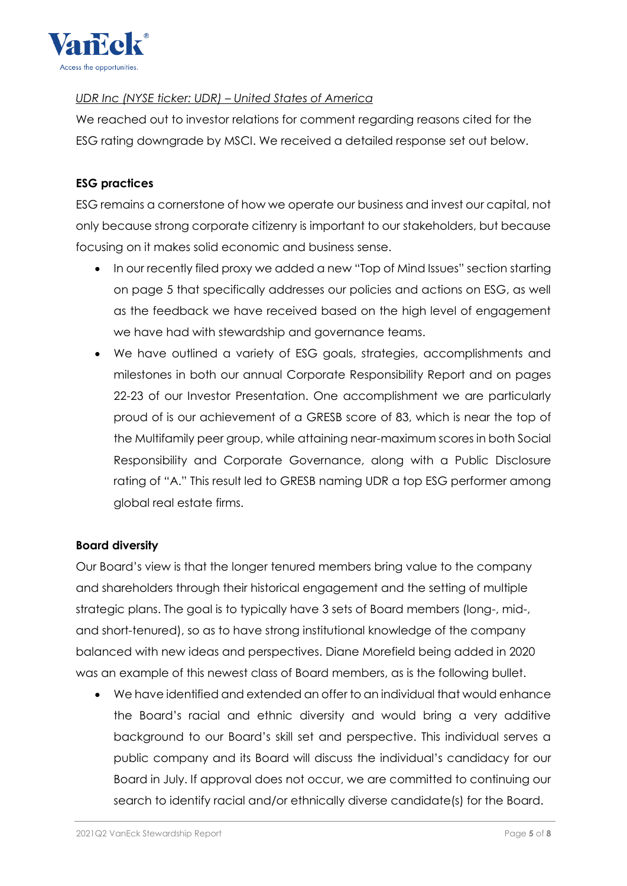

## *UDR Inc (NYSE ticker: UDR) – United States of America*

We reached out to investor relations for comment regarding reasons cited for the ESG rating downgrade by MSCI. We received a detailed response set out below.

## **ESG practices**

ESG remains a cornerstone of how we operate our business and invest our capital, not only because strong corporate citizenry is important to our stakeholders, but because focusing on it makes solid economic and business sense.

- In ou[r recently filed proxy](https://s27.q4cdn.com/542031646/files/doc_financials/2020/ar/FINAL-2021-Proxy-Statement.pdf) we added a new ["Top of Mind Issues" section](https://ir.udr.com/annual-report-proxy-1/annual-shareholder-meeting/annual-shareholder-meeting/#mind_issues) starting on page 5 that specifically addresses our policies and actions on ESG, as well as the feedback we have received based on the high level of engagement we have had with stewardship and governance teams.
- We have outlined a variety of ESG goals, strategies, accomplishments and milestones in both our annual [Corporate Responsibility Report](https://myudr.com/assets/UDR-2020-Corporate-Responsibility-Report.pdf) and on pages 22-23 of our [Investor Presentation.](https://s27.q4cdn.com/542031646/files/doc_presentations/2021/03/March-2021-Investor-Presentation.pdf) One accomplishment we are particularly proud of is our achievement of a [GRESB score](https://s27.q4cdn.com/542031646/files/doc_news/2020/11/1/UDR-Announces-2020-GRESB-Score-GRESB-Top-Performer-Status-and-Its-Winning-t.pdf) of 83, which is near the top of the Multifamily peer group, while attaining near-maximum scores in both Social Responsibility and Corporate Governance, along with a Public Disclosure rating of "A." This result led to GRESB naming UDR a top ESG performer among global real estate firms.

## **Board diversity**

Our Board's view is that the longer tenured members bring value to the company and shareholders through their historical engagement and the setting of multiple strategic plans. The goal is to typically have 3 sets of Board members (long-, mid-, and short-tenured), so as to have strong institutional knowledge of the company balanced with new ideas and perspectives. [Diane Morefield being added in 2020](https://s27.q4cdn.com/542031646/files/doc_news/2020/10/1/UDR-Appoints-Diane-M-Morefield-to-Board-of-Directors.pdf) was an example of this newest class of Board members, as is the following bullet.

 We have identified and extended an offer to an individual that would enhance the Board's racial and ethnic diversity and would bring a very additive background to our Board's skill set and perspective. This individual serves a public company and its Board will discuss the individual's candidacy for our Board in July. If approval does not occur, we are committed to continuing our search to identify racial and/or ethnically diverse candidate(s) for the Board.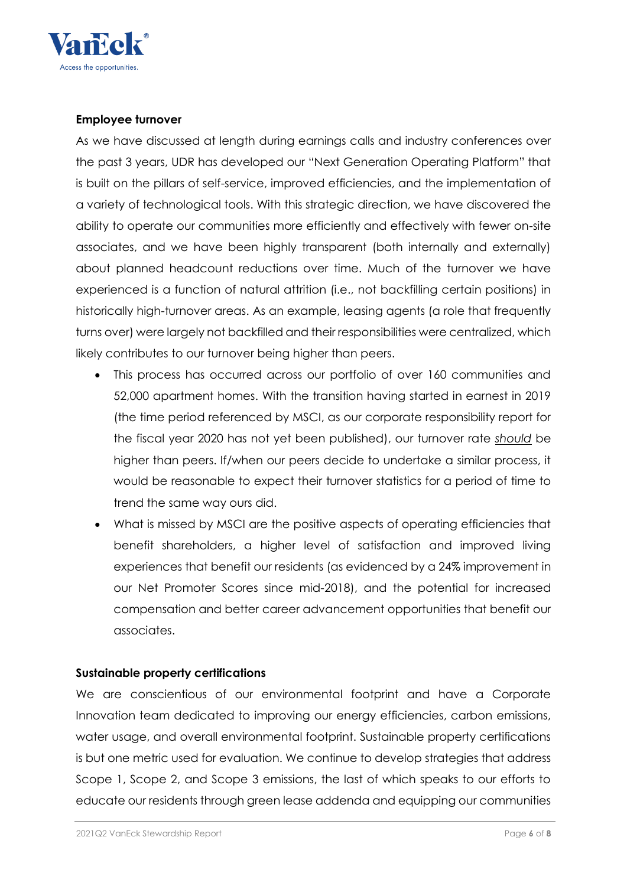

#### **Employee turnover**

As we have discussed at length during earnings calls and industry conferences over the past 3 years, UDR has developed our "Next Generation Operating Platform" that is built on the pillars of self-service, improved efficiencies, and the implementation of a variety of technological tools. With this strategic direction, we have discovered the ability to operate our communities more efficiently and effectively with fewer on-site associates, and we have been highly transparent (both internally and externally) about planned headcount reductions over time. Much of the turnover we have experienced is a function of natural attrition (i.e., not backfilling certain positions) in historically high-turnover areas. As an example, leasing agents (a role that frequently turns over) were largely not backfilled and their responsibilities were centralized, which likely contributes to our turnover being higher than peers.

- This process has occurred across our portfolio of over 160 communities and 52,000 apartment homes. With the transition having started in earnest in 2019 (the time period referenced by MSCI, as our corporate responsibility report for the fiscal year 2020 has not yet been published), our turnover rate *should* be higher than peers. If/when our peers decide to undertake a similar process, it would be reasonable to expect their turnover statistics for a period of time to trend the same way ours did.
- What is missed by MSCI are the positive aspects of operating efficiencies that benefit shareholders, a higher level of satisfaction and improved living experiences that benefit our residents (as evidenced by a 24% improvement in our Net Promoter Scores since mid-2018), and the potential for increased compensation and better career advancement opportunities that benefit our associates.

## **Sustainable property certifications**

We are conscientious of our environmental footprint and have a Corporate Innovation team dedicated to improving our energy efficiencies, carbon emissions, water usage, and overall environmental footprint. Sustainable property certifications is but one metric used for evaluation. We continue to develop strategies that address Scope 1, Scope 2, and Scope 3 emissions, the last of which speaks to our efforts to educate our residents through green lease addenda and equipping our communities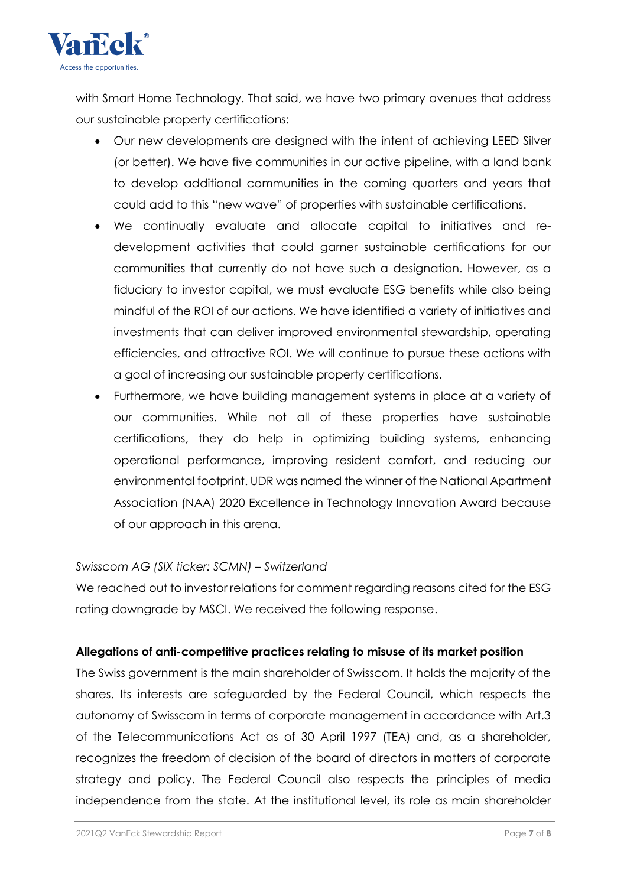

with Smart Home Technology. That said, we have two primary avenues that address our sustainable property certifications:

- Our new developments are designed with the intent of achieving LEED Silver (or better). We have five communities in our active pipeline, with a land bank to develop additional communities in the coming quarters and years that could add to this "new wave" of properties with sustainable certifications.
- We continually evaluate and allocate capital to initiatives and redevelopment activities that could garner sustainable certifications for our communities that currently do not have such a designation. However, as a fiduciary to investor capital, we must evaluate ESG benefits while also being mindful of the ROI of our actions. We have identified a variety of initiatives and investments that can deliver improved environmental stewardship, operating efficiencies, and attractive ROI. We will continue to pursue these actions with a goal of increasing our sustainable property certifications.
- Furthermore, we have building management systems in place at a variety of our communities. While not all of these properties have sustainable certifications, they do help in optimizing building systems, enhancing operational performance, improving resident comfort, and reducing our environmental footprint. UDR was named the winner of the National Apartment Association (NAA) [2020 Excellence in Technology Innovation Award](https://s27.q4cdn.com/542031646/files/doc_news/2020/11/1/UDR-Announces-2020-GRESB-Score-GRESB-Top-Performer-Status-and-Its-Winning-t.pdf) because of our approach in this arena.

## *Swisscom AG (SIX ticker: SCMN) – Switzerland*

We reached out to investor relations for comment regarding reasons cited for the ESG rating downgrade by MSCI. We received the following response.

## **Allegations of anti-competitive practices relating to misuse of its market position**

The Swiss government is the main shareholder of Swisscom. It holds the majority of the shares. Its interests are safeguarded by the Federal Council, which respects the autonomy of Swisscom in terms of corporate management in accordance with Art.3 of the Telecommunications Act as of 30 April 1997 (TEA) and, as a shareholder, recognizes the freedom of decision of the board of directors in matters of corporate strategy and policy. The Federal Council also respects the principles of media independence from the state. At the institutional level, its role as main shareholder